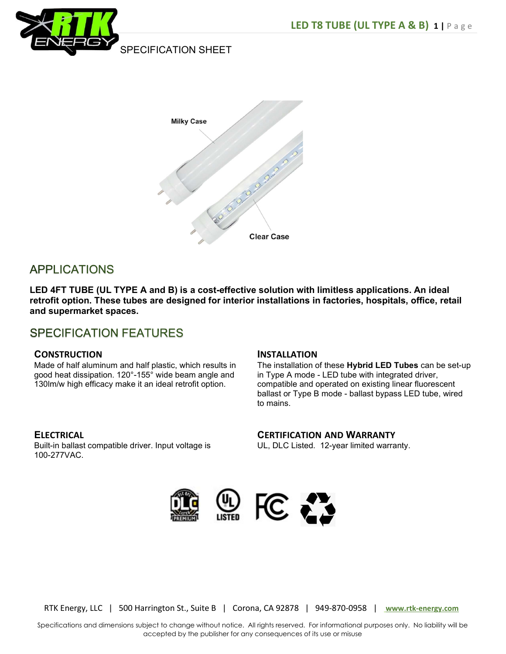



# **APPLICATIONS**

LED 4FT TUBE (UL TYPE A and B) is a cost-effective solution with limitless applications. An ideal retrofit option. These tubes are designed for interior installations in factories, hospitals, office, retail and supermarket spaces.

# **SPECIFICATION FEATURES**

#### **CONSTRUCTION**

Made of half aluminum and half plastic, which results in good heat dissipation. 120°-155° wide beam angle and 130lm/w high efficacy make it an ideal retrofit option.

#### INSTALLATION

The installation of these Hybrid LED Tubes can be set-up in Type A mode - LED tube with integrated driver, compatible and operated on existing linear fluorescent ballast or Type B mode - ballast bypass LED tube, wired to mains.

#### **ELECTRICAL**

Built-in ballast compatible driver. Input voltage is 100-277VAC.

### CERTIFICATION AND WARRANTY

UL, DLC Listed. 12-year limited warranty.



RTK Energy, LLC | 500 Harrington St., Suite B | Corona, CA 92878 | 949-870-0958 | www.rtk-energy.com

Specifications and dimensions subject to change without notice. All rights reserved. For informational purposes only. No liability will be accepted by the publisher for any consequences of its use or misuse